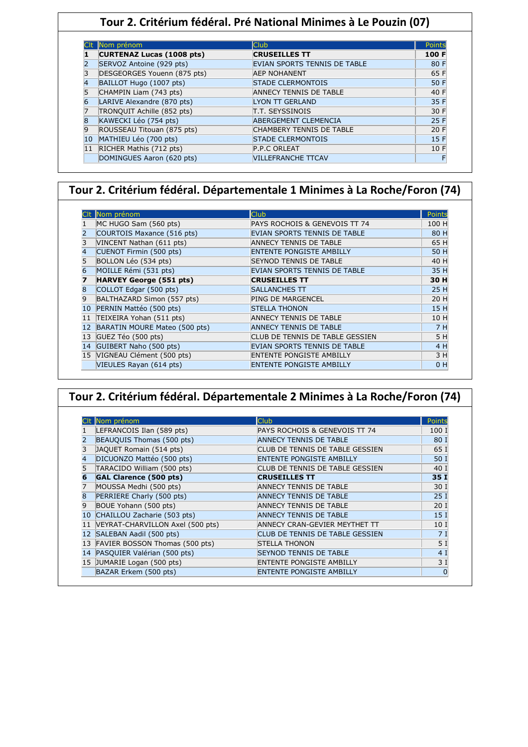# **Tour 2. Critérium fédéral. Pré National Minimes à Le Pouzin (07)**

| Nom prénom                       | <b>Club</b>                         | Points |
|----------------------------------|-------------------------------------|--------|
| <b>CURTENAZ Lucas (1008 pts)</b> | <b>CRUSEILLES TT</b>                | 100 F  |
| SERVOZ Antoine (929 pts)         | <b>EVIAN SPORTS TENNIS DE TABLE</b> | 80 F   |
| DESGEORGES Youenn (875 pts)      | <b>AEP NOHANENT</b>                 | 65 F   |
| BAILLOT Hugo (1007 pts)          | <b>STADE CLERMONTOIS</b>            | 50 F   |
| CHAMPIN Liam (743 pts)           | <b>ANNECY TENNIS DE TABLE</b>       | 40 F   |
| LARIVE Alexandre (870 pts)       | <b>LYON TT GERLAND</b>              | 35 F   |
| TRONQUIT Achille (852 pts)       | IT.T. SEYSSINOIS                    | 30 F   |
| KAWECKI Léo (754 pts)            | ABERGEMENT CLEMENCIA                | 25 F   |
| ROUSSEAU Titouan (875 pts)       | <b>CHAMBERY TENNIS DE TABLE</b>     | 20 F   |
| MATHIEU Léo (700 pts)            | <b>STADE CLERMONTOIS</b>            | 15F    |
| RICHER Mathis (712 pts)          | P.P.C ORLEAT                        | 10 F   |
| DOMINGUES Aaron (620 pts)        | <b>VILLEFRANCHE TTCAV</b>           |        |

#### **Tour 2. Critérium fédéral. Départementale 1 Minimes à La Roche/Foron (74)**

|                 | Nom prénom                     | Club                            | Points         |
|-----------------|--------------------------------|---------------------------------|----------------|
|                 | MC HUGO Sam (560 pts)          | PAYS ROCHOIS & GENEVOIS TT 74   | 100 H          |
|                 | COURTOIS Maxance (516 pts)     | EVIAN SPORTS TENNIS DE TABLE    | 80 H           |
| 3               | VINCENT Nathan (611 pts)       | <b>ANNECY TENNIS DE TABLE</b>   | 65 H           |
| $\vert 4 \vert$ | CUENOT Firmin (500 pts)        | <b>ENTENTE PONGISTE AMBILLY</b> | 50 H           |
|                 | BOLLON Léo (534 pts)           | <b>SEYNOD TENNIS DE TABLE</b>   | 40 H           |
| 6               | MOILLE Rémi (531 pts)          | EVIAN SPORTS TENNIS DE TABLE    | 35 H           |
|                 | <b>HARVEY George (551 pts)</b> | <b>CRUSEILLES TT</b>            | 30 H           |
| 8               | COLLOT Edgar (500 pts)         | <b>SALLANCHES TT</b>            | 25 H           |
| 9               | BALTHAZARD Simon (557 pts)     | <b>PING DE MARGENCEL</b>        | 20 H           |
| 10              | PERNIN Mattéo (500 pts)        | <b>STELLA THONON</b>            | 15 H           |
| 11              | TEIXEIRA Yohan (511 pts)       | <b>ANNECY TENNIS DE TABLE</b>   | 10 H           |
| 12              | BARATIN MOURE Mateo (500 pts)  | <b>ANNECY TENNIS DE TABLE</b>   | 7H             |
| 13              | GUEZ Téo (500 pts)             | CLUB DE TENNIS DE TABLE GESSIEN | 5H             |
| 14              | GUIBERT Naho (500 pts)         | EVIAN SPORTS TENNIS DE TABLE    | 4 H            |
|                 | 15 VIGNEAU Clément (500 pts)   | <b>ENTENTE PONGISTE AMBILLY</b> | 3 H            |
|                 | VIEULES Rayan (614 pts)        | <b>ENTENTE PONGISTE AMBILLY</b> | 0 <sub>H</sub> |

| Tour 2. Critérium fédéral. Départementale 2 Minimes à La Roche/Foron (74) |                                   |                                 |                 |  |
|---------------------------------------------------------------------------|-----------------------------------|---------------------------------|-----------------|--|
|                                                                           |                                   |                                 |                 |  |
|                                                                           | Clt Nom prénom                    | <b>Club</b>                     | Points          |  |
|                                                                           | LEFRANCOIS Ilan (589 pts)         | PAYS ROCHOIS & GENEVOIS TT 74   | 100 1           |  |
|                                                                           | BEAUQUIS Thomas (500 pts)         | <b>ANNECY TENNIS DE TABLE</b>   | 80 1            |  |
|                                                                           | JAQUET Romain (514 pts)           | CLUB DE TENNIS DE TABLE GESSIEN | 65 I            |  |
| 4                                                                         | DICUONZO Mattéo (500 pts)         | <b>ENTENTE PONGISTE AMBILLY</b> | 50 I            |  |
|                                                                           | TARACIDO William (500 pts)        | CLUB DE TENNIS DE TABLE GESSIEN | 40 1            |  |
|                                                                           | <b>GAL Clarence (500 pts)</b>     | <b>CRUSEILLES TT</b>            | 35 I            |  |
|                                                                           | MOUSSA Medhi (500 pts)            | ANNECY TENNIS DE TABLE          | 30 1            |  |
|                                                                           | PERRIERE Charly (500 pts)         | <b>ANNECY TENNIS DE TABLE</b>   | 25 <sub>1</sub> |  |
| 9                                                                         | BOUE Yohann (500 pts)             | ANNECY TENNIS DE TABLE          | 20 <sub>1</sub> |  |
|                                                                           | CHAILLOU Zacharie (503 pts)       | <b>ANNECY TENNIS DE TABLE</b>   | 15 <sub>1</sub> |  |
|                                                                           | VEYRAT-CHARVILLON Axel (500 pts)  | ANNECY CRAN-GEVIER MEYTHET TT   | 10 1            |  |
|                                                                           | 12 SALEBAN Aadil (500 pts)        | CLUB DE TENNIS DE TABLE GESSIEN | 7 <sub>1</sub>  |  |
|                                                                           | 13 FAVIER BOSSON Thomas (500 pts) | <b>STELLA THONON</b>            | 5               |  |
|                                                                           | 14 PASQUIER Valérian (500 pts)    | <b>SEYNOD TENNIS DE TABLE</b>   | 4 <sup>1</sup>  |  |
|                                                                           | 15 JUMARIE Logan (500 pts)        | <b>ENTENTE PONGISTE AMBILLY</b> | 3 <sub>1</sub>  |  |
|                                                                           | BAZAR Erkem (500 pts)             | <b>ENTENTE PONGISTE AMBILLY</b> |                 |  |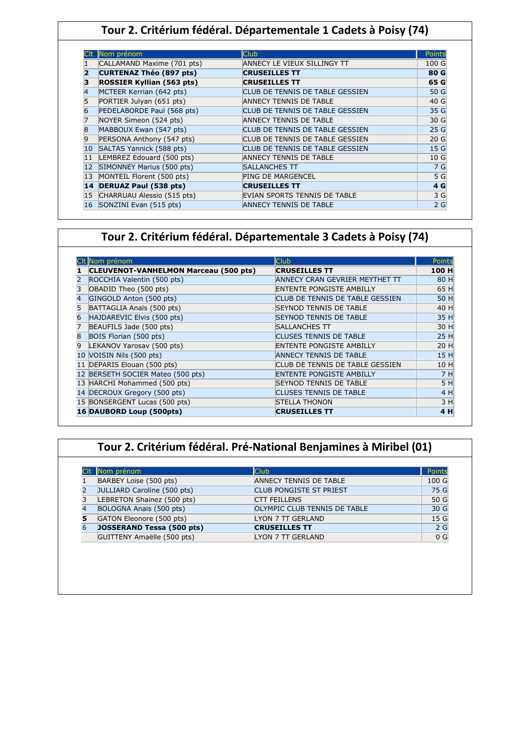## **Tour 2. Critérium fédéral. Départementale 1 Cadets à Poisy (74)**

|    | Nom prénom                       | Club                            | Points          |
|----|----------------------------------|---------------------------------|-----------------|
|    | CALLAMAND Maxime (701 pts)       | ANNECY LE VIEUX SILLINGY TT     | 100 G           |
|    | <b>CURTENAZ Théo (897 pts)</b>   | <b>CRUSEILLES TT</b>            | 80 G            |
|    | <b>ROSSIER Kyllian (563 pts)</b> | <b>CRUSEILLES TT</b>            | 65 G            |
|    | MCTEER Kerrian (642 pts)         | CLUB DE TENNIS DE TABLE GESSIEN | 50 G            |
| 5  | PORTIER Julyan (651 pts)         | ANNECY TENNIS DE TABLE          | 40 G            |
| 6  | PEDELABORDE Paul (568 pts)       | CLUB DE TENNIS DE TABLE GESSIEN | 35 G            |
|    | NOYER Simeon (524 pts)           | <b>ANNECY TENNIS DE TABLE</b>   | 30 G            |
| 8  | MABBOUX Ewan (547 pts)           | CLUB DE TENNIS DE TABLE GESSIEN | 25 G            |
| 9  | PERSONA Anthony (547 pts)        | CLUB DE TENNIS DE TABLE GESSIEN | 20 <sub>G</sub> |
| 10 | SALTAS Yannick (588 pts)         | CLUB DE TENNIS DE TABLE GESSIEN | 15 <sub>G</sub> |
|    | LEMBREZ Edouard (500 pts)        | <b>ANNECY TENNIS DE TABLE</b>   | 10G             |
|    | SIMONNEY Marius (500 pts)        | <b>SALLANCHES TT</b>            | 7 G             |
| 13 | MONTEIL Florent (500 pts)        | <b>PING DE MARGENCEL</b>        | 5 G             |
| 14 | <b>DERUAZ Paul (538 pts)</b>     | <b>CRUSEILLES TT</b>            | 4 G             |
| 15 | CHARRUAU Alessio (515 pts)       | EVIAN SPORTS TENNIS DE TABLE    | 3 G             |
| 16 | SONZINI Evan (515 pts)           | ANNECY TENNIS DE TABLE          | 2G              |

#### **Tour 2. Critérium fédéral. Départementale 3 Cadets à Poisy (74)**

|                | Nom prénom                                   | Club                            | Points |
|----------------|----------------------------------------------|---------------------------------|--------|
|                | <b>CLEUVENOT-VANHELMON Marceau (500 pts)</b> | <b>CRUSEILLES TT</b>            | 100 H  |
|                | ROCCHIA Valentin (500 pts)                   | ANNECY CRAN GEVRIER MEYTHET TT  | 80 H   |
|                | OBADID Theo (500 pts)                        | <b>ENTENTE PONGISTE AMBILLY</b> | 65 H   |
| 4              | GINGOLD Anton (500 pts)                      | CLUB DE TENNIS DE TABLE GESSIEN | 50 H   |
|                | BATTAGLIA Anaïs (500 pts)                    | <b>SEYNOD TENNIS DE TABLE</b>   | 40 H   |
|                | HAJDAREVIC Elvis (500 pts)                   | <b>SEYNOD TENNIS DE TABLE</b>   | 35 H   |
|                | BEAUFILS Jade (500 pts)                      | <b>SALLANCHES TT</b>            | 30 H   |
| 8              | BOIS Florian (500 pts)                       | <b>CLUSES TENNIS DE TABLE</b>   | 25 H   |
| $\overline{9}$ | LEKANOV Yarosav (500 pts)                    | <b>ENTENTE PONGISTE AMBILLY</b> | 20 H   |
|                | 10 VOISIN Nils (500 pts)                     | <b>ANNECY TENNIS DE TABLE</b>   | 15 H   |
|                | 11 DEPARIS Elouan (500 pts)                  | CLUB DE TENNIS DE TABLE GESSIEN | 10 H   |
|                | 12 BERSETH SOCIER Mateo (500 pts)            | <b>ENTENTE PONGISTE AMBILLY</b> | 7 H    |
|                | 13 HARCHI Mohammed (500 pts)                 | <b>SEYNOD TENNIS DE TABLE</b>   | 5 H    |
|                | 14 DECROUX Gregory (500 pts)                 | <b>CLUSES TENNIS DE TABLE</b>   | 4 H    |
|                | 15 BONSERGENT Lucas (500 pts)                | <b>STELLA THONON</b>            | 3 H    |
|                | 16 DAUBORD Loup (500pts)                     | <b>CRUSEILLES TT</b>            | 4 H    |

## **Tour 2. Critérium fédéral. Pré-National Benjamines à Miribel (01)**

|                | Nom prénom                       | <b>Club</b>                    | Points          |
|----------------|----------------------------------|--------------------------------|-----------------|
|                | BARBEY Loïse (500 pts)           | ANNECY TENNIS DE TABLE         | 100 G           |
|                | JULLIARD Caroline (500 pts)      | <b>CLUB PONGISTE ST PRIEST</b> | 75 G            |
|                | LEBRETON Shainez (500 pts)       | <b>CTT FEILLENS</b>            | 50 G            |
|                | BOLOGNA Anais (500 pts)          | OLYMPIC CLUB TENNIS DE TABLE   | 30 G            |
| 5              | GATON Eleonore (500 pts)         | LYON 7 TT GERLAND              | 15 <sub>G</sub> |
| $\overline{6}$ | <b>JOSSERAND Tessa (500 pts)</b> | <b>CRUSEILLES TT</b>           | 2 <sub>G</sub>  |
|                | GUITTENY Amaëlle (500 pts)       | LYON 7 TT GERLAND              | 0 <sub>G</sub>  |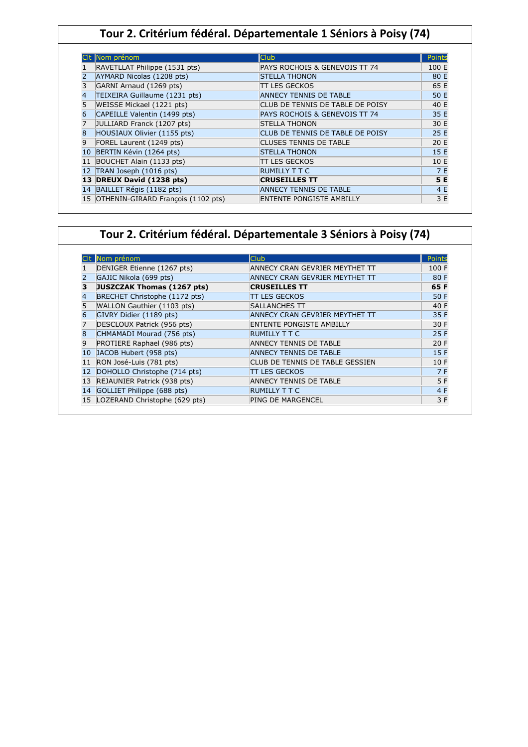## **Tour 2. Critérium fédéral. Départementale 1 Séniors à Poisy (74)**

|    | Nom prénom                            | <b>Club</b>                              | Points |
|----|---------------------------------------|------------------------------------------|--------|
|    | RAVETLLAT Philippe (1531 pts)         | PAYS ROCHOIS & GENEVOIS TT 74            | 100 E  |
|    | AYMARD Nicolas (1208 pts)             | <b>STELLA THONON</b>                     | 80 E   |
|    | GARNI Arnaud (1269 pts)               | TT LES GECKOS                            | 65 E   |
| 4  | TEIXEIRA Guillaume (1231 pts)         | ANNECY TENNIS DE TABLE                   | 50 E   |
|    | WEISSE Mickael (1221 pts)             | CLUB DE TENNIS DE TABLE DE POISY         | 40 E   |
| 6  | CAPEILLE Valentin (1499 pts)          | <b>PAYS ROCHOIS &amp; GENEVOIS TT 74</b> | 35 E   |
|    | JULLIARD Franck (1207 pts)            | <b>STELLA THONON</b>                     | 30 E   |
| 8  | HOUSIAUX Olivier (1155 pts)           | CLUB DE TENNIS DE TABLE DE POISY         | 25 E   |
| q  | FOREL Laurent (1249 pts)              | <b>CLUSES TENNIS DE TABLE</b>            | 20 E   |
| 10 | BERTIN Kévin (1264 pts)               | <b>STELLA THONON</b>                     | 15E    |
|    | BOUCHET Alain (1133 pts)              | TT LES GECKOS                            | 10 E   |
|    | TRAN Joseph (1016 pts)                | <b>RUMILLY T T C</b>                     | 7 E    |
|    | 13 DREUX David (1238 pts)             | <b>CRUSEILLES TT</b>                     | 5 E    |
|    | 14 BAILLET Régis (1182 pts)           | ANNECY TENNIS DE TABLE                   | 4 E    |
|    | 15 OTHENIN-GIRARD François (1102 pts) | ENTENTE PONGISTE AMBILLY                 | 3 E    |

## **Tour 2. Critérium fédéral. Départementale 3 Séniors à Poisy (74)**

|    | Nom prénom                    | lClub                           | Points |
|----|-------------------------------|---------------------------------|--------|
|    | DENIGER Etienne (1267 pts)    | ANNECY CRAN GEVRIER MEYTHET TT  | 100 F  |
| 2  | GAJIC Nikola (699 pts)        | ANNECY CRAN GEVRIER MEYTHET TT  | 80 F   |
| з  | JUSZCZAK Thomas (1267 pts)    | <b>CRUSEILLES TT</b>            | 65 F   |
| 4  | BRECHET Christophe (1172 pts) | <b>ITT LES GECKOS</b>           | 50 F   |
| 5  | WALLON Gauthier (1103 pts)    | <b>SALLANCHES TT</b>            | 40 F   |
| 6  | GIVRY Didier (1189 pts)       | ANNECY CRAN GEVRIER MEYTHET TT  | 35 F   |
| 7  | DESCLOUX Patrick (956 pts)    | <b>ENTENTE PONGISTE AMBILLY</b> | 30 F   |
| 8  | CHMAMADI Mourad (756 pts)     | <b>RUMILLY T T C</b>            | 25 F   |
| 9  | PROTIERE Raphael (986 pts)    | <b>ANNECY TENNIS DE TABLE</b>   | 20 F   |
| 10 | JACOB Hubert (958 pts)        | <b>ANNECY TENNIS DE TABLE</b>   | 15F    |
| 11 | RON José-Luis (781 pts)       | CLUB DE TENNIS DE TABLE GESSIEN | 10 F   |
| 12 | DOHOLLO Christophe (714 pts)  | <b>ITT LES GECKOS</b>           | 7 F    |
| 13 | REJAUNIER Patrick (938 pts)   | <b>ANNECY TENNIS DE TABLE</b>   | 5 F    |
| 14 | GOLLIET Philippe (688 pts)    | <b>RUMILLY T T C</b>            | 4 F    |
| 15 | LOZERAND Christophe (629 pts) | <b>PING DE MARGENCEL</b>        | 3 F    |